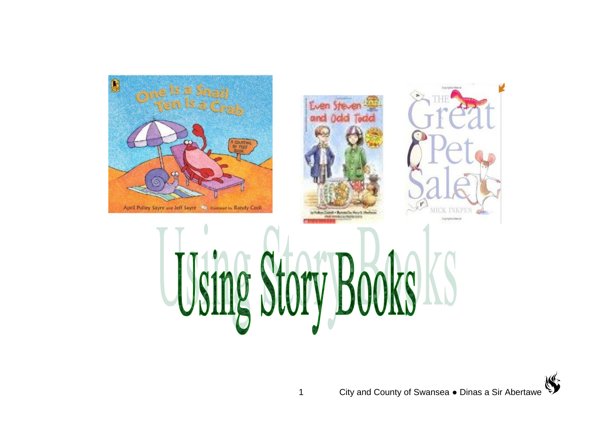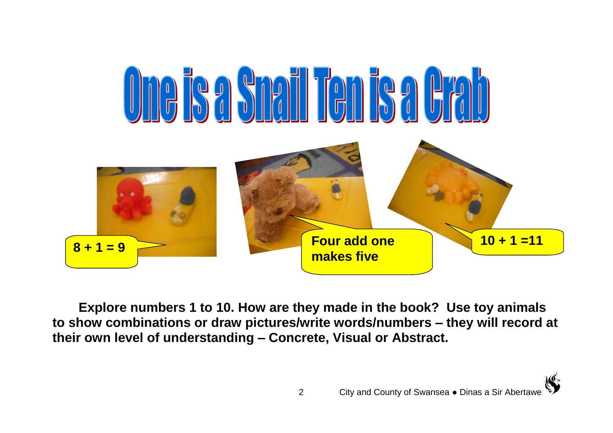

**Explore numbers 1 to 10. How are they made in the book? Use toy animals to show combinations or draw pictures/write words/numbers – they will record at their own level of understanding – Concrete, Visual or Abstract.**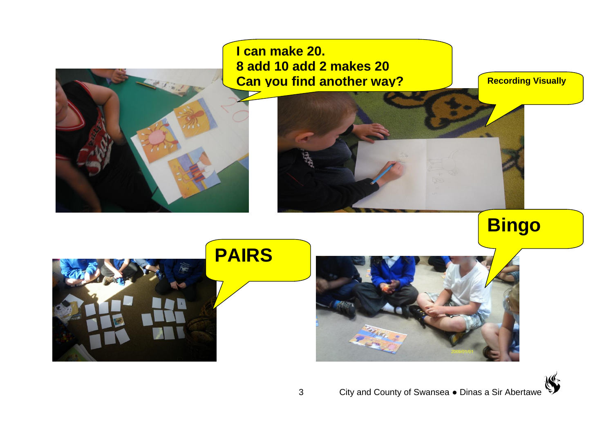

**I can make 20. 8 add 10 add 2 makes 20 Can you find another way?**

**Recording Visually** 

**Bingo**





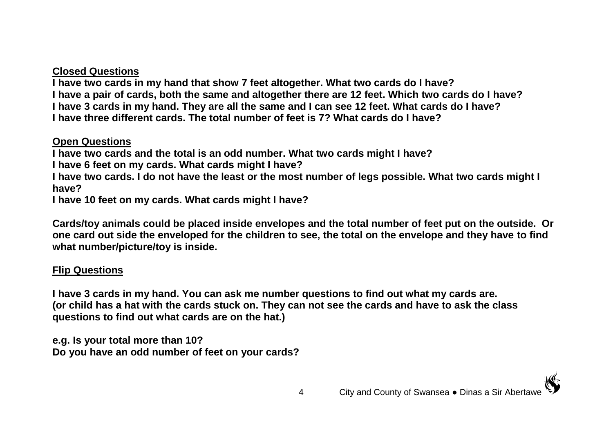### **Closed Questions**

**I have two cards in my hand that show 7 feet altogether. What two cards do I have? I have a pair of cards, both the same and altogether there are 12 feet. Which two cards do I have? I have 3 cards in my hand. They are all the same and I can see 12 feet. What cards do I have? I have three different cards. The total number of feet is 7? What cards do I have?**

### **Open Questions**

**I have two cards and the total is an odd number. What two cards might I have?**

**I have 6 feet on my cards. What cards might I have?**

**I have two cards. I do not have the least or the most number of legs possible. What two cards might I have?**

**I have 10 feet on my cards. What cards might I have?**

**Cards/toy animals could be placed inside envelopes and the total number of feet put on the outside. Or one card out side the enveloped for the children to see, the total on the envelope and they have to find what number/picture/toy is inside.**

## **Flip Questions**

**I have 3 cards in my hand. You can ask me number questions to find out what my cards are. (or child has a hat with the cards stuck on. They can not see the cards and have to ask the class questions to find out what cards are on the hat.)**

**e.g. Is your total more than 10? Do you have an odd number of feet on your cards?**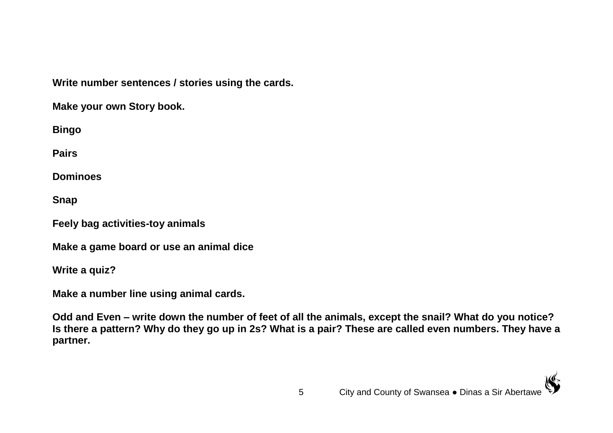**Write number sentences / stories using the cards.**

**Make your own Story book.**

**Bingo** 

**Pairs**

**Dominoes**

**Snap**

**Feely bag activities-toy animals**

**Make a game board or use an animal dice**

**Write a quiz?**

**Make a number line using animal cards.**

**Odd and Even – write down the number of feet of all the animals, except the snail? What do you notice? Is there a pattern? Why do they go up in 2s? What is a pair? These are called even numbers. They have a partner.**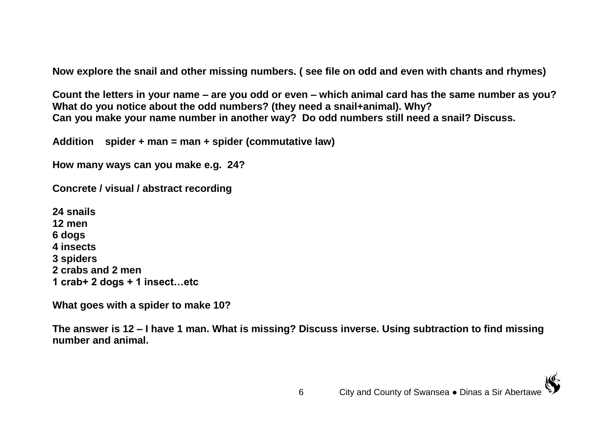**Now explore the snail and other missing numbers. ( see file on odd and even with chants and rhymes)** 

**Count the letters in your name – are you odd or even – which animal card has the same number as you? What do you notice about the odd numbers? (they need a snail+animal). Why? Can you make your name number in another way? Do odd numbers still need a snail? Discuss.**

**Addition spider + man = man + spider (commutative law)**

**How many ways can you make e.g. 24?**

**Concrete / visual / abstract recording**

**24 snails 12 men 6 dogs 4 insects 3 spiders 2 crabs and 2 men 1 crab+ 2 dogs + 1 insect…etc** 

**What goes with a spider to make 10?**

**The answer is 12 – I have 1 man. What is missing? Discuss inverse. Using subtraction to find missing number and animal.**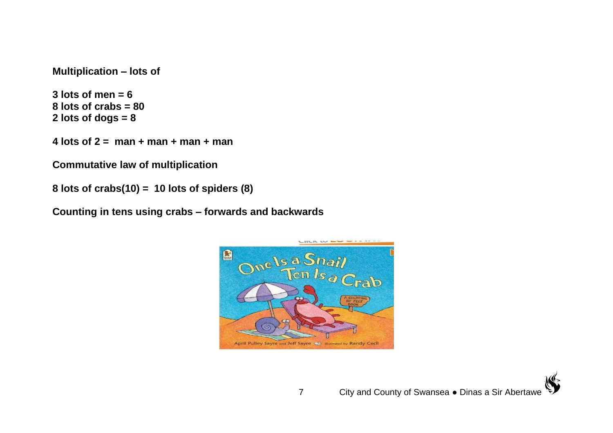**Multiplication – lots of** 

**3 lots of men = 6 8 lots of crabs = 80 2 lots of dogs = 8**

**4 lots of 2 = man + man + man + man**

**Commutative law of multiplication**

```
8 lots of crabs(10) = 10 lots of spiders (8)
```
**Counting in tens using crabs – forwards and backwards**

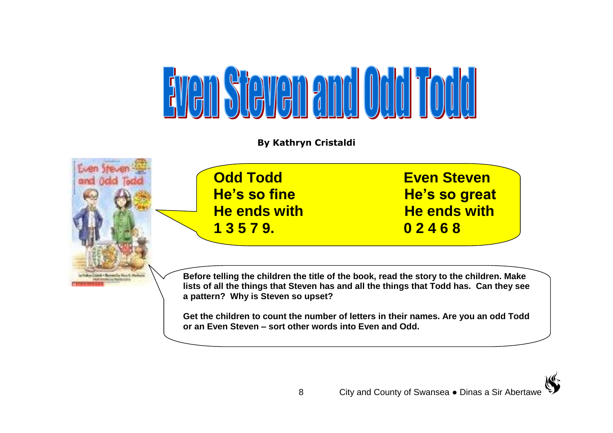

**By Kathryn Cristaldi**





**Get the children to count the number of letters in their names. Are you an odd Todd or an Even Steven – sort other words into Even and Odd.**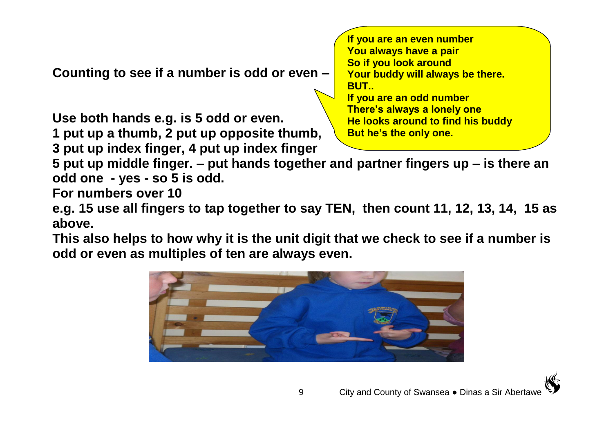**Counting to see if a number is odd or even –**

**Use both hands e.g. is 5 odd or even.**

**1 put up a thumb, 2 put up opposite thumb, 3 put up index finger, 4 put up index finger**

**If you are an even number You always have a pair So if you look around Your buddy will always be there. BUT.. If you are an odd number There's always a lonely one He looks around to find his buddy But he's the only one.**

**5 put up middle finger. – put hands together and partner fingers up – is there an odd one - yes - so 5 is odd.**

**For numbers over 10** 

**e.g. 15 use all fingers to tap together to say TEN, then count 11, 12, 13, 14, 15 as above.**

**This also helps to how why it is the unit digit that we check to see if a number is odd or even as multiples of ten are always even.**

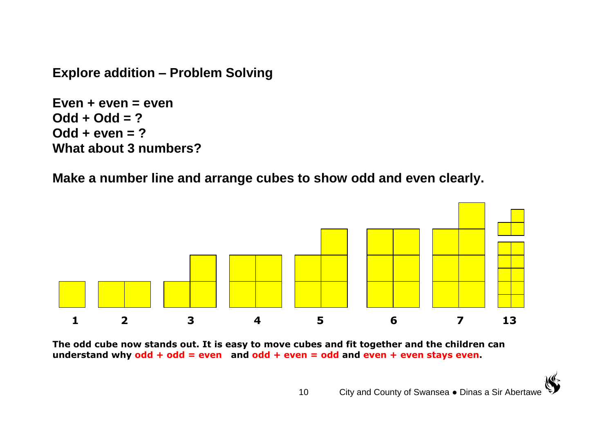**Explore addition – Problem Solving**

**Even + even = even Odd + Odd = ? Odd + even = ? What about 3 numbers?**

**Make a number line and arrange cubes to show odd and even clearly.** 



**The odd cube now stands out. It is easy to move cubes and fit together and the children can understand why odd + odd = even and odd + even = odd and even + even stays even.**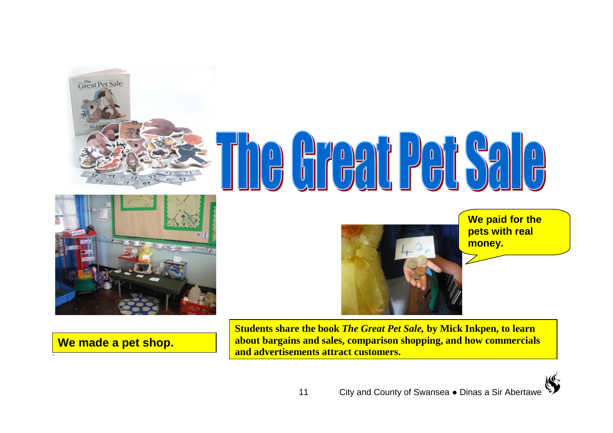

# $\begin{array}{c} \n\end{array}$  $\frac{1}{\pi}$



**We made a pet shop.** 

.

**We paid for the pets with real money.**

**Students share the book** *The Great Pet Sale,* **by Mick Inkpen, to learn about bargains and sales, comparison shopping, and how commercials and advertisements attract customers.**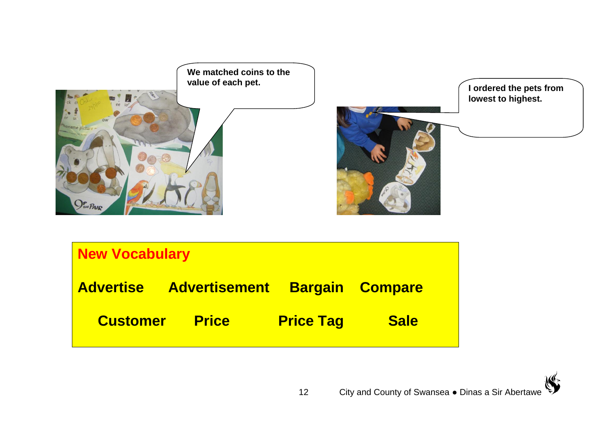

| <b>New Vocabulary</b> |                      |                  |                        |
|-----------------------|----------------------|------------------|------------------------|
| <b>Advertise</b>      | <b>Advertisement</b> |                  | <b>Bargain Compare</b> |
| <b>Customer</b>       | <b>Price</b>         | <b>Price Tag</b> | <b>Sale</b>            |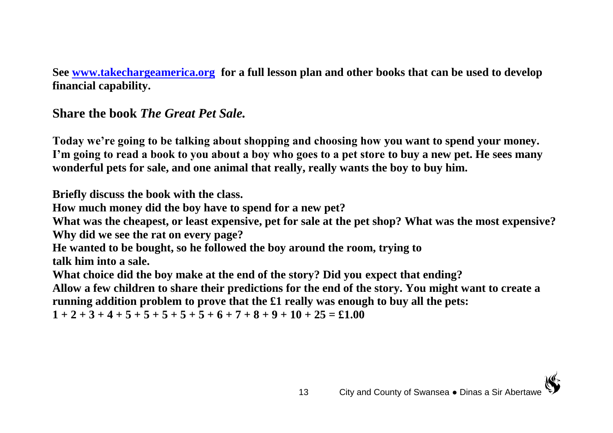**See [www.takechargeamerica.org](http://www.takechargeamerica.org/) for a full lesson plan and other books that can be used to develop financial capability.**

**Share the book** *The Great Pet Sale.*

**Today we're going to be talking about shopping and choosing how you want to spend your money. I'm going to read a book to you about a boy who goes to a pet store to buy a new pet. He sees many wonderful pets for sale, and one animal that really, really wants the boy to buy him.** 

**Briefly discuss the book with the class.**

**How much money did the boy have to spend for a new pet?**

**What was the cheapest, or least expensive, pet for sale at the pet shop? What was the most expensive? Why did we see the rat on every page?**

**He wanted to be bought, so he followed the boy around the room, trying to**

**talk him into a sale.**

**What choice did the boy make at the end of the story? Did you expect that ending?**

**Allow a few children to share their predictions for the end of the story. You might want to create a running addition problem to prove that the £1 really was enough to buy all the pets:**

 $1 + 2 + 3 + 4 + 5 + 5 + 5 + 5 + 5 + 6 + 7 + 8 + 9 + 10 + 25 = £1.00$ 

<sup>13</sup> City and County of Swansea ● Dinas a Sir Abertawe